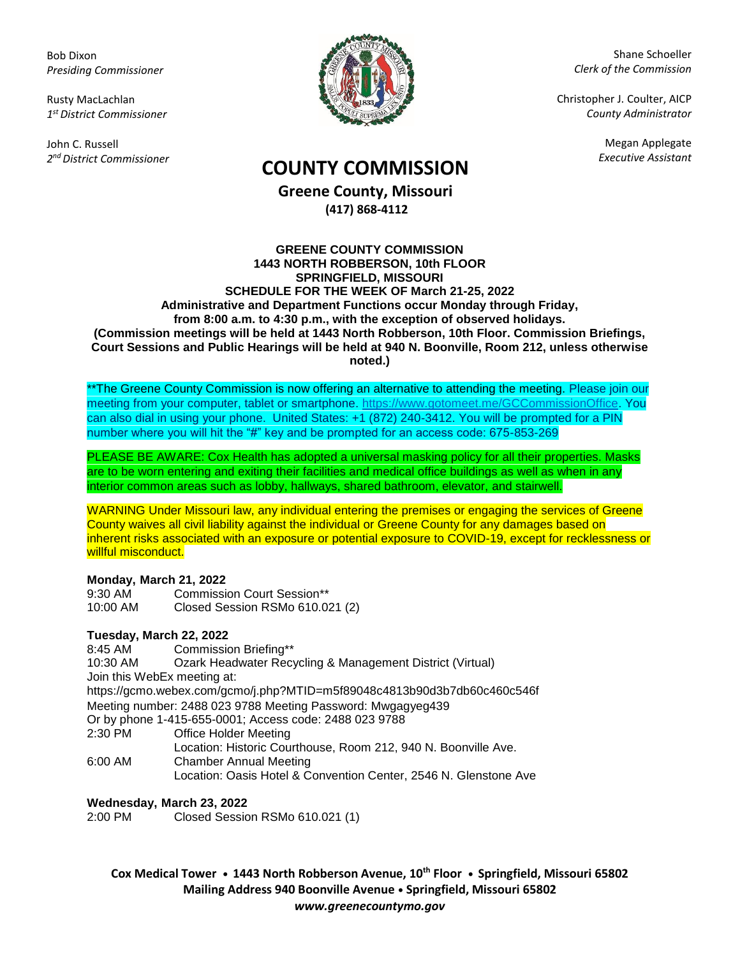Bob Dixon *Presiding Commissioner*

Rusty MacLachlan *1 st District Commissioner*

John C. Russell *2 nd District Commissioner*



Shane Schoeller *Clerk of the Commission*

Christopher J. Coulter, AICP *County Administrator*

Megan Applegate

# *Executive Assistant* **COUNTY COMMISSION**

**Greene County, Missouri (417) 868-4112**

#### **GREENE COUNTY COMMISSION 1443 NORTH ROBBERSON, 10th FLOOR SPRINGFIELD, MISSOURI SCHEDULE FOR THE WEEK OF March 21-25, 2022 Administrative and Department Functions occur Monday through Friday, from 8:00 a.m. to 4:30 p.m., with the exception of observed holidays. (Commission meetings will be held at 1443 North Robberson, 10th Floor. Commission Briefings, Court Sessions and Public Hearings will be held at 940 N. Boonville, Room 212, unless otherwise noted.)**

\*\*The Greene County Commission is now offering an alternative to attending the meeting. Please join our meeting from your computer, tablet or smartphone. [https://www.gotomeet.me/GCCommissionOffice.](https://www.gotomeet.me/GCCommissionOffice) You can also dial in using your phone. United States: +1 (872) 240-3412. You will be prompted for a PIN number where you will hit the "#" key and be prompted for an access code: 675-853-269

PLEASE BE AWARE: Cox Health has adopted a universal masking policy for all their properties. Masks are to be worn entering and exiting their facilities and medical office buildings as well as when in any interior common areas such as lobby, hallways, shared bathroom, elevator, and stairwell.

WARNING Under Missouri law, any individual entering the premises or engaging the services of Greene County waives all civil liability against the individual or Greene County for any damages based on inherent risks associated with an exposure or potential exposure to COVID-19, except for recklessness or willful misconduct.

## **Monday, March 21, 2022**

9:30 AM Commission Court Session\*\* 10:00 AM Closed Session RSMo 610.021 (2)

# **Tuesday, March 22, 2022**

8:45 AM Commission Briefing\*\* 10:30 AM Ozark Headwater Recycling & Management District (Virtual) Join this WebEx meeting at: <https://gcmo.webex.com/gcmo/j.php?MTID=m5f89048c4813b90d3b7db60c460c546f> Meeting number: 2488 023 9788 Meeting Password: Mwgagyeg439 Or by phone 1-415-655-0001; Access code: 2488 023 9788 2:30 PM Office Holder Meeting Location: Historic Courthouse, Room 212, 940 N. Boonville Ave. 6:00 AM Chamber Annual Meeting

Location: Oasis Hotel & Convention Center, 2546 N. Glenstone Ave

# **Wednesday, March 23, 2022**

2:00 PM Closed Session RSMo 610.021 (1)

**Cox Medical Tower • 1443 North Robberson Avenue, 10th Floor • Springfield, Missouri 65802 Mailing Address 940 Boonville Avenue • Springfield, Missouri 65802** *www.greenecountymo.gov*